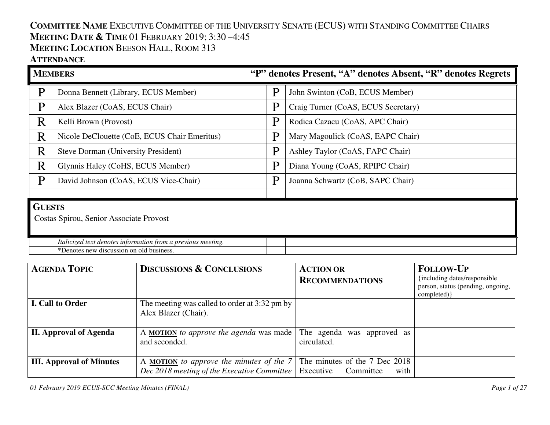## **COMMITTEE NAME** <sup>E</sup>XECUTIVE COMMITTEE OF THE UNIVERSITY SENATE (ECUS) WITH STANDING COMMITTEE CHAIRS **MEETING DATE & <sup>T</sup>IME** <sup>01</sup> <sup>F</sup>EBRUARY 2019; 3:30 –4:45 **MEETING LOCATION** BEESON HALL, ROOM 313

### **ATTENDANCE**

| <b>MEMBERS</b>                          |                                                              | "P" denotes Present, "A" denotes Absent, "R" denotes Regrets |                                     |
|-----------------------------------------|--------------------------------------------------------------|--------------------------------------------------------------|-------------------------------------|
| P                                       | Donna Bennett (Library, ECUS Member)                         | P                                                            | John Swinton (CoB, ECUS Member)     |
| $\mathbf{P}$                            | Alex Blazer (CoAS, ECUS Chair)                               | P                                                            | Craig Turner (CoAS, ECUS Secretary) |
| R                                       | Kelli Brown (Provost)                                        | P                                                            | Rodica Cazacu (CoAS, APC Chair)     |
| $\mathbf R$                             | Nicole DeClouette (CoE, ECUS Chair Emeritus)                 | P                                                            | Mary Magoulick (CoAS, EAPC Chair)   |
| R                                       | <b>Steve Dorman (University President)</b>                   | P                                                            | Ashley Taylor (CoAS, FAPC Chair)    |
| R                                       | Glynnis Haley (CoHS, ECUS Member)                            | P                                                            | Diana Young (CoAS, RPIPC Chair)     |
| P                                       | David Johnson (CoAS, ECUS Vice-Chair)                        | P                                                            | Joanna Schwartz (CoB, SAPC Chair)   |
|                                         |                                                              |                                                              |                                     |
|                                         | <b>GUESTS</b>                                                |                                                              |                                     |
| Costas Spirou, Senior Associate Provost |                                                              |                                                              |                                     |
|                                         | Italicized text denotes information from a previous meeting. |                                                              |                                     |
|                                         | *Denotes new discussion on old business.                     |                                                              |                                     |

| <b>AGENDA TOPIC</b>             | <b>DISCUSSIONS &amp; CONCLUSIONS</b>                                                           | <b>ACTION OR</b><br><b>RECOMMENDATIONS</b>                      | <b>FOLLOW-UP</b><br>{including dates/responsible<br>person, status (pending, ongoing,<br>completed) } |
|---------------------------------|------------------------------------------------------------------------------------------------|-----------------------------------------------------------------|-------------------------------------------------------------------------------------------------------|
| I. Call to Order                | The meeting was called to order at 3:32 pm by<br>Alex Blazer (Chair).                          |                                                                 |                                                                                                       |
| <b>II. Approval of Agenda</b>   | A <b>MOTION</b> to approve the agenda was made<br>and seconded.                                | The agenda was approved as<br>circulated.                       |                                                                                                       |
| <b>III.</b> Approval of Minutes | A <b>MOTION</b> to approve the minutes of the 7<br>Dec 2018 meeting of the Executive Committee | The minutes of the 7 Dec 2018<br>Executive<br>with<br>Committee |                                                                                                       |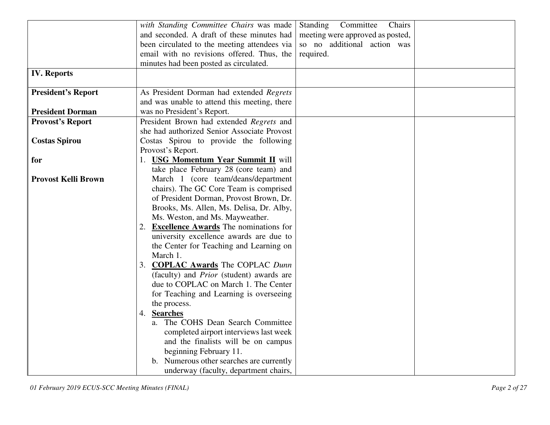|                            | with Standing Committee Chairs was made         | Standing<br>Chairs<br>Committee  |  |
|----------------------------|-------------------------------------------------|----------------------------------|--|
|                            | and seconded. A draft of these minutes had      | meeting were approved as posted, |  |
|                            |                                                 | so no additional action was      |  |
|                            | been circulated to the meeting attendees via    |                                  |  |
|                            | email with no revisions offered. Thus, the      | required.                        |  |
|                            | minutes had been posted as circulated.          |                                  |  |
| <b>IV. Reports</b>         |                                                 |                                  |  |
| <b>President's Report</b>  | As President Dorman had extended Regrets        |                                  |  |
|                            | and was unable to attend this meeting, there    |                                  |  |
| <b>President Dorman</b>    | was no President's Report.                      |                                  |  |
| <b>Provost's Report</b>    | President Brown had extended Regrets and        |                                  |  |
|                            | she had authorized Senior Associate Provost     |                                  |  |
| <b>Costas Spirou</b>       | Costas Spirou to provide the following          |                                  |  |
|                            | Provost's Report.                               |                                  |  |
| for                        | 1. USG Momentum Year Summit II will             |                                  |  |
|                            | take place February 28 (core team) and          |                                  |  |
| <b>Provost Kelli Brown</b> | March 1 (core team/deans/department             |                                  |  |
|                            | chairs). The GC Core Team is comprised          |                                  |  |
|                            |                                                 |                                  |  |
|                            | of President Dorman, Provost Brown, Dr.         |                                  |  |
|                            | Brooks, Ms. Allen, Ms. Delisa, Dr. Alby,        |                                  |  |
|                            | Ms. Weston, and Ms. Mayweather.                 |                                  |  |
|                            | 2. Excellence Awards The nominations for        |                                  |  |
|                            | university excellence awards are due to         |                                  |  |
|                            | the Center for Teaching and Learning on         |                                  |  |
|                            | March 1.                                        |                                  |  |
|                            | 3. COPLAC Awards The COPLAC Dunn                |                                  |  |
|                            | (faculty) and <i>Prior</i> (student) awards are |                                  |  |
|                            | due to COPLAC on March 1. The Center            |                                  |  |
|                            | for Teaching and Learning is overseeing         |                                  |  |
|                            | the process.                                    |                                  |  |
|                            | 4. Searches                                     |                                  |  |
|                            | a. The COHS Dean Search Committee               |                                  |  |
|                            | completed airport interviews last week          |                                  |  |
|                            | and the finalists will be on campus             |                                  |  |
|                            | beginning February 11.                          |                                  |  |
|                            | b. Numerous other searches are currently        |                                  |  |
|                            | underway (faculty, department chairs,           |                                  |  |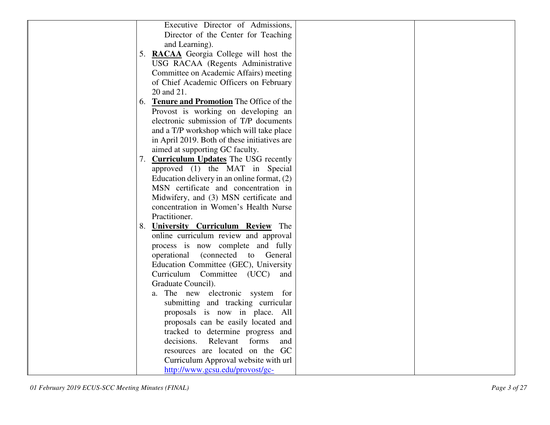| Executive Director of Admissions,                    |  |
|------------------------------------------------------|--|
| Director of the Center for Teaching                  |  |
| and Learning).                                       |  |
| 5. RACAA Georgia College will host the               |  |
| USG RACAA (Regents Administrative                    |  |
| Committee on Academic Affairs) meeting               |  |
|                                                      |  |
| of Chief Academic Officers on February<br>20 and 21. |  |
|                                                      |  |
| 6. Tenure and Promotion The Office of the            |  |
| Provost is working on developing an                  |  |
| electronic submission of T/P documents               |  |
| and a T/P workshop which will take place             |  |
| in April 2019. Both of these initiatives are         |  |
| aimed at supporting GC faculty.                      |  |
| 7. Curriculum Updates The USG recently               |  |
| approved (1) the MAT in Special                      |  |
| Education delivery in an online format, $(2)$        |  |
| MSN certificate and concentration in                 |  |
| Midwifery, and (3) MSN certificate and               |  |
| concentration in Women's Health Nurse                |  |
| Practitioner.                                        |  |
| 8. University Curriculum Review The                  |  |
| online curriculum review and approval                |  |
| process is now complete and fully                    |  |
| (connected)<br>operational<br>to General             |  |
| Education Committee (GEC), University                |  |
| Curriculum Committee (UCC)<br>and                    |  |
| Graduate Council).                                   |  |
| a. The new electronic system for                     |  |
| submitting and tracking curricular                   |  |
| proposals is now in place. All                       |  |
| proposals can be easily located and                  |  |
| tracked to determine progress and                    |  |
| decisions.<br>Relevant<br>forms<br>and               |  |
| resources are located on the GC                      |  |
| Curriculum Approval website with url                 |  |
| http://www.gcsu.edu/provost/gc-                      |  |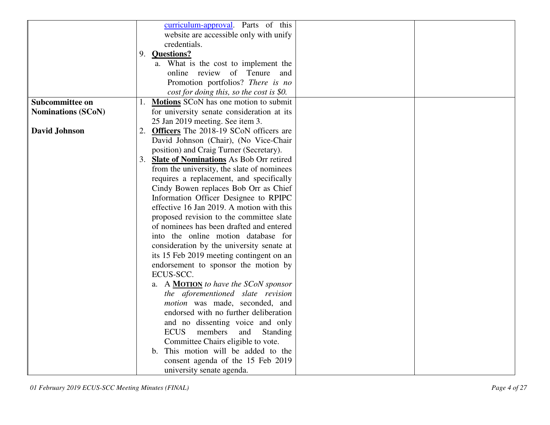| curriculum-approval. Parts of this                                      |  |
|-------------------------------------------------------------------------|--|
| website are accessible only with unify                                  |  |
| credentials.                                                            |  |
| 9. Questions?                                                           |  |
| a. What is the cost to implement the                                    |  |
| online review of Tenure<br>and                                          |  |
| Promotion portfolios? There is no                                       |  |
|                                                                         |  |
| cost for doing this, so the cost is \$0.<br>Subcommittee on             |  |
| 1. Motions SCoN has one motion to submit                                |  |
| <b>Nominations (SCoN)</b><br>for university senate consideration at its |  |
| 25 Jan 2019 meeting. See item 3.                                        |  |
| 2. Officers The 2018-19 SCoN officers are<br><b>David Johnson</b>       |  |
| David Johnson (Chair), (No Vice-Chair                                   |  |
| position) and Craig Turner (Secretary).                                 |  |
| 3. Slate of Nominations As Bob Orr retired                              |  |
| from the university, the slate of nominees                              |  |
| requires a replacement, and specifically                                |  |
| Cindy Bowen replaces Bob Orr as Chief                                   |  |
| Information Officer Designee to RPIPC                                   |  |
| effective 16 Jan 2019. A motion with this                               |  |
| proposed revision to the committee slate                                |  |
| of nominees has been drafted and entered                                |  |
| into the online motion database for                                     |  |
| consideration by the university senate at                               |  |
| its 15 Feb 2019 meeting contingent on an                                |  |
| endorsement to sponsor the motion by                                    |  |
| ECUS-SCC.                                                               |  |
| a. A <b>MOTION</b> to have the SCoN sponsor                             |  |
| the aforementioned slate revision                                       |  |
| motion was made, seconded, and                                          |  |
| endorsed with no further deliberation                                   |  |
| and no dissenting voice and only                                        |  |
| <b>ECUS</b><br>members<br>and<br>Standing                               |  |
| Committee Chairs eligible to vote.                                      |  |
| b. This motion will be added to the                                     |  |
| consent agenda of the 15 Feb 2019                                       |  |
| university senate agenda.                                               |  |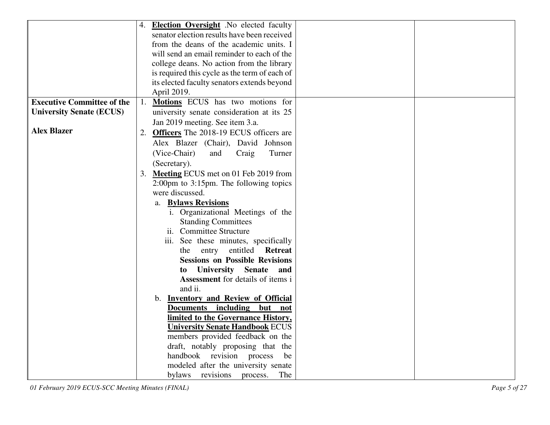|                                   | 4. <b>Election Oversight</b> No elected faculty             |
|-----------------------------------|-------------------------------------------------------------|
|                                   | senator election results have been received                 |
|                                   | from the deans of the academic units. I                     |
|                                   | will send an email reminder to each of the                  |
|                                   | college deans. No action from the library                   |
|                                   | is required this cycle as the term of each of               |
|                                   | its elected faculty senators extends beyond                 |
|                                   | April 2019.                                                 |
| <b>Executive Committee of the</b> | 1. Motions ECUS has two motions for                         |
| <b>University Senate (ECUS)</b>   | university senate consideration at its 25                   |
|                                   | Jan 2019 meeting. See item 3.a.                             |
| <b>Alex Blazer</b>                | 2. Officers The 2018-19 ECUS officers are                   |
|                                   | Alex Blazer (Chair), David Johnson                          |
|                                   | (Vice-Chair)<br>and<br>Craig<br>Turner                      |
|                                   | (Secretary).                                                |
|                                   | 3. Meeting ECUS met on 01 Feb 2019 from                     |
|                                   | $2:00 \text{pm}$ to $3:15 \text{pm}$ . The following topics |
|                                   | were discussed.                                             |
|                                   | <b>Bylaws Revisions</b><br>a.                               |
|                                   | i. Organizational Meetings of the                           |
|                                   | <b>Standing Committees</b>                                  |
|                                   | ii. Committee Structure                                     |
|                                   | iii. See these minutes, specifically                        |
|                                   | entitled<br><b>Retreat</b><br>the<br>entry                  |
|                                   | <b>Sessions on Possible Revisions</b>                       |
|                                   | <b>Senate</b><br><b>University</b><br>and<br>to             |
|                                   | Assessment for details of items i                           |
|                                   | and ii.                                                     |
|                                   | b. Inventory and Review of Official                         |
|                                   | Documents including but<br>not                              |
|                                   | limited to the Governance History,                          |
|                                   | <b>University Senate Handbook ECUS</b>                      |
|                                   | members provided feedback on the                            |
|                                   | draft, notably proposing that the                           |
|                                   | handbook revision<br>process<br>be                          |
|                                   | modeled after the university senate                         |
|                                   | revisions<br>bylaws<br>The<br>process.                      |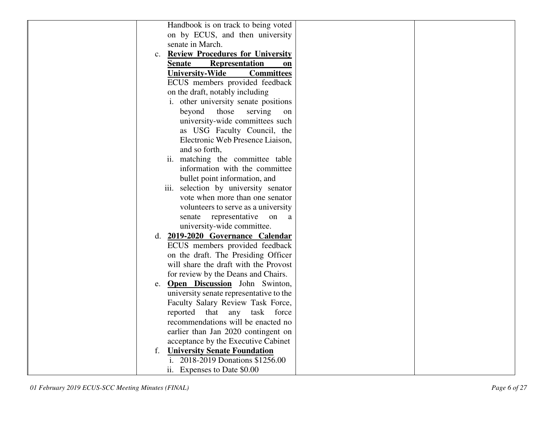| Handbook is on track to being voted                       |               |
|-----------------------------------------------------------|---------------|
| on by ECUS, and then university                           |               |
| senate in March.                                          |               |
| <b>Review Procedures for University</b><br>$\mathbf{c}$ . |               |
| <b>Representation</b><br><b>Senate</b>                    | <sub>on</sub> |
| <b>Committees</b><br><b>University-Wide</b>               |               |
| ECUS members provided feedback                            |               |
| on the draft, notably including                           |               |
| i. other university senate positions                      |               |
| beyond<br>those<br>serving                                | on            |
| university-wide committees such                           |               |
| as USG Faculty Council, the                               |               |
| Electronic Web Presence Liaison,                          |               |
| and so forth,                                             |               |
| ii. matching the committee table                          |               |
| information with the committee                            |               |
| bullet point information, and                             |               |
| iii. selection by university senator                      |               |
| vote when more than one senator                           |               |
| volunteers to serve as a university                       |               |
| representative on<br>senate                               | a             |
| university-wide committee.                                |               |
| d. 2019-2020 Governance Calendar                          |               |
| ECUS members provided feedback                            |               |
| on the draft. The Presiding Officer                       |               |
| will share the draft with the Provost                     |               |
| for review by the Deans and Chairs.                       |               |
| <b>Open Discussion</b> John Swinton,<br>e.                |               |
| university senate representative to the                   |               |
| Faculty Salary Review Task Force,                         |               |
| reported that any<br>task force                           |               |
| recommendations will be enacted no                        |               |
| earlier than Jan 2020 contingent on                       |               |
| acceptance by the Executive Cabinet                       |               |
| <b>University Senate Foundation</b><br>f.                 |               |
| i. 2018-2019 Donations \$1256.00                          |               |
| ii. Expenses to Date \$0.00                               |               |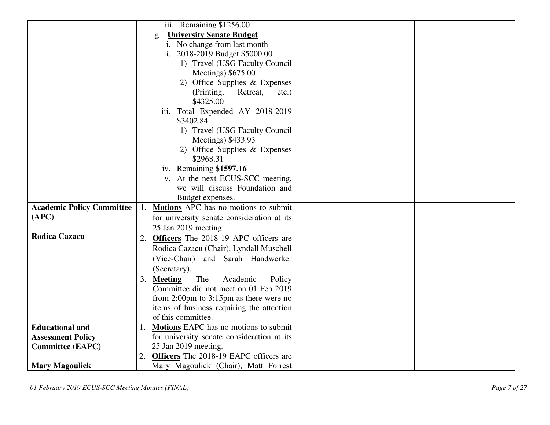|                                  | iii. Remaining \$1256.00                          |
|----------------------------------|---------------------------------------------------|
|                                  | <b>University Senate Budget</b><br>g.             |
|                                  | i. No change from last month                      |
|                                  | ii. 2018-2019 Budget \$5000.00                    |
|                                  | 1) Travel (USG Faculty Council                    |
|                                  | Meetings) \$675.00                                |
|                                  | 2) Office Supplies & Expenses                     |
|                                  | Retreat,<br>(Printing,<br>$etc.$ )                |
|                                  | \$4325.00                                         |
|                                  | iii. Total Expended AY 2018-2019                  |
|                                  | \$3402.84                                         |
|                                  | 1) Travel (USG Faculty Council                    |
|                                  | Meetings) \$433.93                                |
|                                  | 2) Office Supplies & Expenses                     |
|                                  | \$2968.31                                         |
|                                  | iv. Remaining \$1597.16                           |
|                                  | v. At the next ECUS-SCC meeting,                  |
|                                  | we will discuss Foundation and                    |
|                                  | Budget expenses.                                  |
| <b>Academic Policy Committee</b> | Motions APC has no motions to submit<br>1.        |
| (APC)                            | for university senate consideration at its        |
|                                  | 25 Jan 2019 meeting.                              |
| <b>Rodica Cazacu</b>             | Officers The 2018-19 APC officers are<br>2.       |
|                                  | Rodica Cazacu (Chair), Lyndall Muschell           |
|                                  | (Vice-Chair) and Sarah Handwerker                 |
|                                  | (Secretary).                                      |
|                                  | 3.<br><b>Meeting</b><br>The<br>Academic<br>Policy |
|                                  | Committee did not meet on 01 Feb 2019             |
|                                  | from 2:00pm to $3:15$ pm as there were no         |
|                                  | items of business requiring the attention         |
|                                  | of this committee.                                |
| <b>Educational and</b>           | <b>Motions</b> EAPC has no motions to submit      |
| <b>Assessment Policy</b>         | for university senate consideration at its        |
| <b>Committee (EAPC)</b>          | 25 Jan 2019 meeting.                              |
|                                  | 2. Officers The 2018-19 EAPC officers are         |
| <b>Mary Magoulick</b>            | Mary Magoulick (Chair), Matt Forrest              |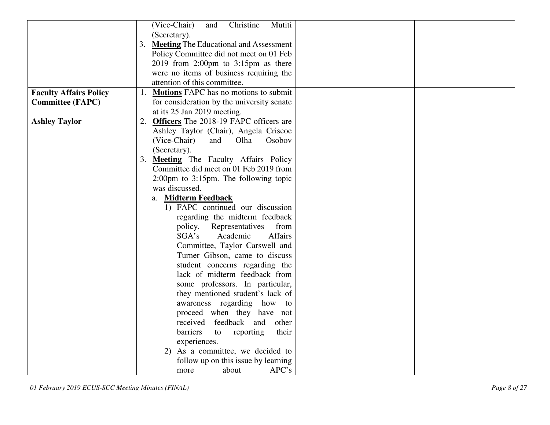| (Vice-Chair)<br>Christine<br>Mutiti<br>and<br>(Secretary).<br>3. Meeting The Educational and Assessment<br>Policy Committee did not meet on 01 Feb<br>2019 from 2:00pm to $3:15$ pm as there<br>were no items of business requiring the |
|-----------------------------------------------------------------------------------------------------------------------------------------------------------------------------------------------------------------------------------------|
|                                                                                                                                                                                                                                         |
|                                                                                                                                                                                                                                         |
|                                                                                                                                                                                                                                         |
|                                                                                                                                                                                                                                         |
|                                                                                                                                                                                                                                         |
|                                                                                                                                                                                                                                         |
| attention of this committee.                                                                                                                                                                                                            |
| <b>Faculty Affairs Policy</b><br>1. Motions FAPC has no motions to submit                                                                                                                                                               |
| <b>Committee (FAPC)</b><br>for consideration by the university senate                                                                                                                                                                   |
| at its 25 Jan 2019 meeting.                                                                                                                                                                                                             |
| 2. Officers The 2018-19 FAPC officers are<br><b>Ashley Taylor</b>                                                                                                                                                                       |
| Ashley Taylor (Chair), Angela Criscoe                                                                                                                                                                                                   |
| (Vice-Chair)<br>and<br>Olha<br>Osobov                                                                                                                                                                                                   |
| (Secretary).                                                                                                                                                                                                                            |
| 3. Meeting The Faculty Affairs Policy                                                                                                                                                                                                   |
| Committee did meet on 01 Feb 2019 from                                                                                                                                                                                                  |
|                                                                                                                                                                                                                                         |
| $2:00 \text{pm}$ to $3:15 \text{pm}$ . The following topic                                                                                                                                                                              |
| was discussed.                                                                                                                                                                                                                          |
| a. Midterm Feedback                                                                                                                                                                                                                     |
| 1) FAPC continued our discussion                                                                                                                                                                                                        |
| regarding the midterm feedback                                                                                                                                                                                                          |
| policy.<br>Representatives<br>from                                                                                                                                                                                                      |
| SGA's<br>Academic<br><b>Affairs</b>                                                                                                                                                                                                     |
| Committee, Taylor Carswell and                                                                                                                                                                                                          |
| Turner Gibson, came to discuss                                                                                                                                                                                                          |
| student concerns regarding the                                                                                                                                                                                                          |
| lack of midterm feedback from                                                                                                                                                                                                           |
| some professors. In particular,                                                                                                                                                                                                         |
| they mentioned student's lack of                                                                                                                                                                                                        |
| awareness regarding how<br>to                                                                                                                                                                                                           |
| proceed when they have not                                                                                                                                                                                                              |
| received<br>feedback<br>and<br>other                                                                                                                                                                                                    |
| barriers<br>reporting<br>to<br>their                                                                                                                                                                                                    |
| experiences.                                                                                                                                                                                                                            |
| 2) As a committee, we decided to                                                                                                                                                                                                        |
| follow up on this issue by learning                                                                                                                                                                                                     |
| APC's<br>about<br>more                                                                                                                                                                                                                  |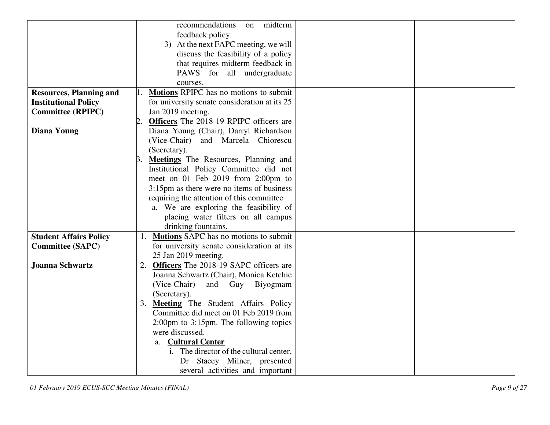|                                | midterm<br>recommendations<br>on                            |  |
|--------------------------------|-------------------------------------------------------------|--|
|                                | feedback policy.                                            |  |
|                                |                                                             |  |
|                                | 3) At the next FAPC meeting, we will                        |  |
|                                | discuss the feasibility of a policy                         |  |
|                                | that requires midterm feedback in                           |  |
|                                | PAWS for all undergraduate                                  |  |
|                                | courses.                                                    |  |
| <b>Resources, Planning and</b> | Motions RPIPC has no motions to submit                      |  |
| <b>Institutional Policy</b>    | for university senate consideration at its 25               |  |
| <b>Committee (RPIPC)</b>       | Jan 2019 meeting.                                           |  |
|                                | <b>Officers</b> The 2018-19 RPIPC officers are              |  |
| <b>Diana Young</b>             | Diana Young (Chair), Darryl Richardson                      |  |
|                                | (Vice-Chair) and Marcela Chiorescu                          |  |
|                                | (Secretary).                                                |  |
|                                | Meetings The Resources, Planning and                        |  |
|                                | Institutional Policy Committee did not                      |  |
|                                | meet on 01 Feb 2019 from 2:00pm to                          |  |
|                                |                                                             |  |
|                                | 3:15pm as there were no items of business                   |  |
|                                | requiring the attention of this committee                   |  |
|                                | a. We are exploring the feasibility of                      |  |
|                                | placing water filters on all campus                         |  |
|                                | drinking fountains.                                         |  |
| <b>Student Affairs Policy</b>  | 1. Motions SAPC has no motions to submit                    |  |
| <b>Committee (SAPC)</b>        | for university senate consideration at its                  |  |
|                                | 25 Jan 2019 meeting.                                        |  |
| <b>Joanna Schwartz</b>         | 2. Officers The 2018-19 SAPC officers are                   |  |
|                                | Joanna Schwartz (Chair), Monica Ketchie                     |  |
|                                | (Vice-Chair)<br>and Guy Biyogmam                            |  |
|                                | (Secretary).                                                |  |
|                                | 3. Meeting The Student Affairs Policy                       |  |
|                                | Committee did meet on 01 Feb 2019 from                      |  |
|                                | $2:00 \text{pm}$ to $3:15 \text{pm}$ . The following topics |  |
|                                | were discussed.                                             |  |
|                                | a. Cultural Center                                          |  |
|                                | i. The director of the cultural center,                     |  |
|                                | Dr Stacey Milner, presented                                 |  |
|                                |                                                             |  |
|                                | several activities and important                            |  |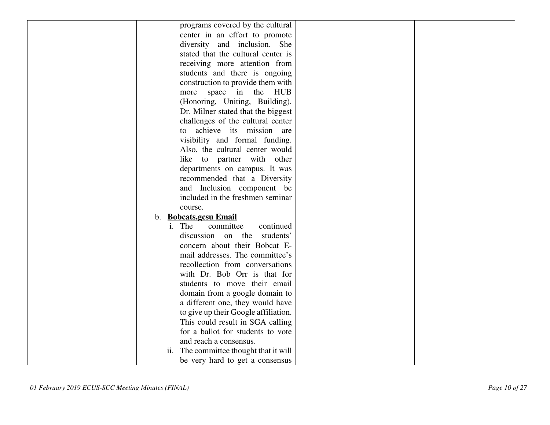| programs covered by the cultural                        |  |
|---------------------------------------------------------|--|
| center in an effort to promote                          |  |
| diversity and inclusion. She                            |  |
| stated that the cultural center is                      |  |
| receiving more attention from                           |  |
| students and there is ongoing                           |  |
| construction to provide them with                       |  |
| more space in the<br>HUB                                |  |
| (Honoring, Uniting, Building).                          |  |
| Dr. Milner stated that the biggest                      |  |
| challenges of the cultural center                       |  |
| achieve its mission are<br>to                           |  |
| visibility and formal funding.                          |  |
| Also, the cultural center would                         |  |
| like to partner with other                              |  |
| departments on campus. It was                           |  |
| recommended that a Diversity                            |  |
| and Inclusion component be                              |  |
| included in the freshmen seminar                        |  |
| course.                                                 |  |
| b. Bobcats.gcsu Email                                   |  |
| i. The<br>committee<br>continued                        |  |
| students'<br>discussion<br>on the                       |  |
| concern about their Bobcat E-                           |  |
| mail addresses. The committee's                         |  |
| recollection from conversations                         |  |
| with Dr. Bob Orr is that for                            |  |
| students to move their email                            |  |
| domain from a google domain to                          |  |
| a different one, they would have                        |  |
| to give up their Google affiliation.                    |  |
| This could result in SGA calling                        |  |
| for a ballot for students to vote                       |  |
| and reach a consensus.                                  |  |
| The committee thought that it will<br>$\overline{11}$ . |  |
| be very hard to get a consensus                         |  |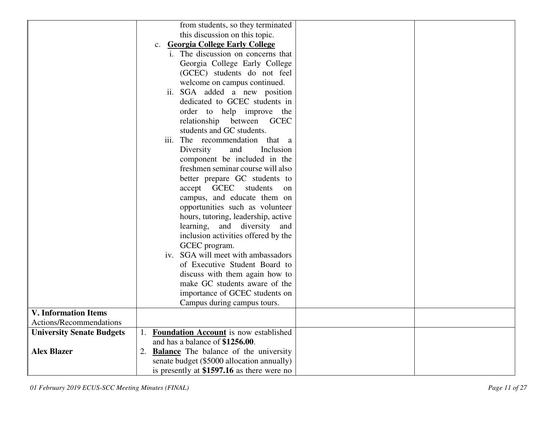|                                  | from students, so they terminated                              |
|----------------------------------|----------------------------------------------------------------|
|                                  | this discussion on this topic.                                 |
|                                  | c. Georgia College Early College                               |
|                                  | i. The discussion on concerns that                             |
|                                  | Georgia College Early College                                  |
|                                  | (GCEC) students do not feel                                    |
|                                  | welcome on campus continued.                                   |
|                                  | ii. SGA added a new position                                   |
|                                  | dedicated to GCEC students in                                  |
|                                  | order to help improve the                                      |
|                                  | relationship between GCEC                                      |
|                                  | students and GC students.                                      |
|                                  | iii. The recommendation that a                                 |
|                                  | Inclusion<br>Diversity<br>and                                  |
|                                  | component be included in the                                   |
|                                  | freshmen seminar course will also                              |
|                                  | better prepare GC students to                                  |
|                                  | accept GCEC students<br><sub>on</sub>                          |
|                                  | campus, and educate them on                                    |
|                                  | opportunities such as volunteer                                |
|                                  | hours, tutoring, leadership, active                            |
|                                  | learning, and diversity and                                    |
|                                  | inclusion activities offered by the                            |
|                                  | GCEC program.                                                  |
|                                  | iv. SGA will meet with ambassadors                             |
|                                  | of Executive Student Board to                                  |
|                                  | discuss with them again how to                                 |
|                                  | make GC students aware of the                                  |
|                                  | importance of GCEC students on                                 |
|                                  | Campus during campus tours.                                    |
| <b>V.</b> Information Items      |                                                                |
| Actions/Recommendations          |                                                                |
| <b>University Senate Budgets</b> | <b>Foundation Account</b> is now established<br>$\mathbf{1}$ . |
|                                  | and has a balance of \$1256.00.                                |
| <b>Alex Blazer</b>               | 2. <b>Balance</b> The balance of the university                |
|                                  | senate budget (\$5000 allocation annually)                     |
|                                  | is presently at \$1597.16 as there were no                     |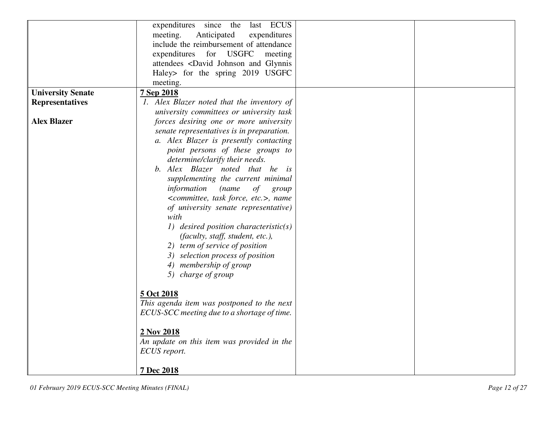|                          | expenditures<br>since<br>last ECUS<br>the                              |  |
|--------------------------|------------------------------------------------------------------------|--|
|                          | meeting.<br>Anticipated<br>expenditures                                |  |
|                          | include the reimbursement of attendance                                |  |
|                          | expenditures for USGFC<br>meeting                                      |  |
|                          | attendees <david and="" glynnis<="" johnson="" th=""><th></th></david> |  |
|                          |                                                                        |  |
|                          | Haley> for the spring 2019 USGFC                                       |  |
|                          | meeting.                                                               |  |
| <b>University Senate</b> | 7 Sep 2018                                                             |  |
| <b>Representatives</b>   | 1. Alex Blazer noted that the inventory of                             |  |
|                          | university committees or university task                               |  |
| <b>Alex Blazer</b>       | forces desiring one or more university                                 |  |
|                          | senate representatives is in preparation.                              |  |
|                          | a. Alex Blazer is presently contacting                                 |  |
|                          | point persons of these groups to                                       |  |
|                          | determine/clarify their needs.                                         |  |
|                          | b. Alex Blazer noted that he is                                        |  |
|                          | supplementing the current minimal                                      |  |
|                          | information<br>(name<br>of<br>group                                    |  |
|                          | <committee, etc.="" force,="" task="">, name</committee,>              |  |
|                          | of university senate representative)                                   |  |
|                          | with                                                                   |  |
|                          | 1) desired position characteristic(s)                                  |  |
|                          | (faculty, staff, student, etc.),                                       |  |
|                          | 2) term of service of position                                         |  |
|                          | 3) selection process of position                                       |  |
|                          | 4) membership of group                                                 |  |
|                          | 5) charge of group                                                     |  |
|                          |                                                                        |  |
|                          | 5 Oct 2018                                                             |  |
|                          | This agenda item was postponed to the next                             |  |
|                          | ECUS-SCC meeting due to a shortage of time.                            |  |
|                          |                                                                        |  |
|                          | 2 Nov 2018                                                             |  |
|                          |                                                                        |  |
|                          | An update on this item was provided in the                             |  |
|                          | ECUS report.                                                           |  |
|                          |                                                                        |  |
|                          | 7 Dec 2018                                                             |  |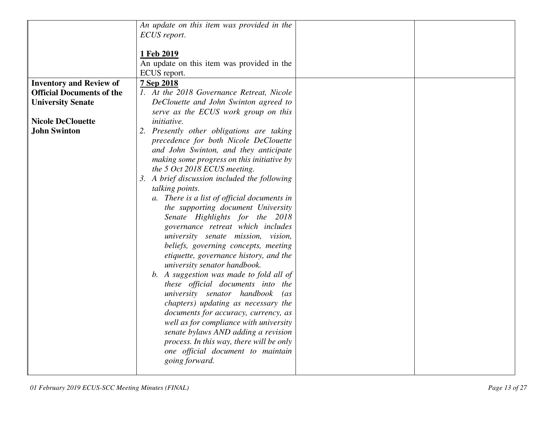|                                  | An update on this item was provided in the   |
|----------------------------------|----------------------------------------------|
|                                  | ECUS report.                                 |
|                                  |                                              |
|                                  | 1 Feb 2019                                   |
|                                  | An update on this item was provided in the   |
|                                  | ECUS report.                                 |
| <b>Inventory and Review of</b>   | 7 Sep 2018                                   |
| <b>Official Documents of the</b> | 1. At the 2018 Governance Retreat, Nicole    |
|                                  |                                              |
| <b>University Senate</b>         | DeClouette and John Swinton agreed to        |
|                                  | serve as the ECUS work group on this         |
| <b>Nicole DeClouette</b>         | <i>initiative.</i>                           |
| <b>John Swinton</b>              | 2. Presently other obligations are taking    |
|                                  | precedence for both Nicole DeClouette        |
|                                  | and John Swinton, and they anticipate        |
|                                  | making some progress on this initiative by   |
|                                  | the 5 Oct 2018 ECUS meeting.                 |
|                                  | 3. A brief discussion included the following |
|                                  |                                              |
|                                  | talking points.                              |
|                                  | a. There is a list of official documents in  |
|                                  | the supporting document University           |
|                                  | Senate Highlights for the 2018               |
|                                  | governance retreat which includes            |
|                                  | university senate mission, vision,           |
|                                  | beliefs, governing concepts, meeting         |
|                                  | etiquette, governance history, and the       |
|                                  | university senator handbook.                 |
|                                  | b. A suggestion was made to fold all of      |
|                                  |                                              |
|                                  | these official documents into the            |
|                                  | university senator handbook<br>$\int$ as     |
|                                  | chapters) updating as necessary the          |
|                                  | documents for accuracy, currency, as         |
|                                  | well as for compliance with university       |
|                                  | senate bylaws AND adding a revision          |
|                                  | process. In this way, there will be only     |
|                                  | one official document to maintain            |
|                                  | going forward.                               |
|                                  |                                              |
|                                  |                                              |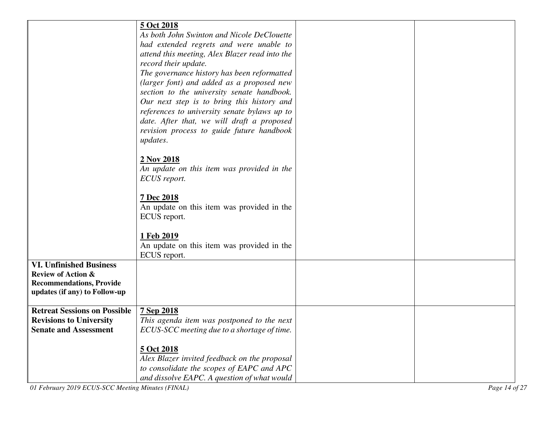|                                                   | 5 Oct 2018                                                                              |               |
|---------------------------------------------------|-----------------------------------------------------------------------------------------|---------------|
|                                                   | As both John Swinton and Nicole DeClouette                                              |               |
|                                                   | had extended regrets and were unable to                                                 |               |
|                                                   | attend this meeting, Alex Blazer read into the                                          |               |
|                                                   | record their update.                                                                    |               |
|                                                   | The governance history has been reformatted                                             |               |
|                                                   | (larger font) and added as a proposed new<br>section to the university senate handbook. |               |
|                                                   | Our next step is to bring this history and                                              |               |
|                                                   | references to university senate bylaws up to                                            |               |
|                                                   | date. After that, we will draft a proposed                                              |               |
|                                                   | revision process to guide future handbook                                               |               |
|                                                   | <i>updates.</i>                                                                         |               |
|                                                   |                                                                                         |               |
|                                                   | 2 Nov 2018                                                                              |               |
|                                                   | An update on this item was provided in the                                              |               |
|                                                   | ECUS report.                                                                            |               |
|                                                   |                                                                                         |               |
|                                                   | 7 Dec 2018                                                                              |               |
|                                                   | An update on this item was provided in the<br>ECUS report.                              |               |
|                                                   |                                                                                         |               |
|                                                   | 1 Feb 2019                                                                              |               |
|                                                   | An update on this item was provided in the                                              |               |
|                                                   | ECUS report.                                                                            |               |
| <b>VI. Unfinished Business</b>                    |                                                                                         |               |
| <b>Review of Action &amp;</b>                     |                                                                                         |               |
| <b>Recommendations, Provide</b>                   |                                                                                         |               |
| updates (if any) to Follow-up                     |                                                                                         |               |
| <b>Retreat Sessions on Possible</b>               | 7 Sep 2018                                                                              |               |
| <b>Revisions to University</b>                    | This agenda item was postponed to the next                                              |               |
| <b>Senate and Assessment</b>                      | ECUS-SCC meeting due to a shortage of time.                                             |               |
|                                                   |                                                                                         |               |
|                                                   | 5 Oct 2018                                                                              |               |
|                                                   | Alex Blazer invited feedback on the proposal                                            |               |
|                                                   | to consolidate the scopes of EAPC and APC                                               |               |
|                                                   | and dissolve EAPC. A question of what would                                             |               |
| 01 February 2019 ECUS-SCC Meeting Minutes (FINAL) |                                                                                         | Page 14 of 27 |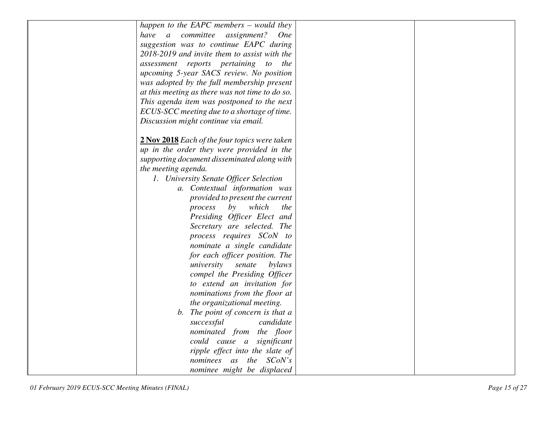| happen to the EAPC members $-$ would they       |  |
|-------------------------------------------------|--|
| have a committee assignment?<br><b>One</b>      |  |
| suggestion was to continue EAPC during          |  |
| 2018-2019 and invite them to assist with the    |  |
| assessment reports pertaining to the            |  |
| upcoming 5-year SACS review. No position        |  |
| was adopted by the full membership present      |  |
| at this meeting as there was not time to do so. |  |
| This agenda item was postponed to the next      |  |
| ECUS-SCC meeting due to a shortage of time.     |  |
| Discussion might continue via email.            |  |
|                                                 |  |
| 2 Nov 2018 Each of the four topics were taken   |  |
| up in the order they were provided in the       |  |
| supporting document disseminated along with     |  |
| the meeting agenda.                             |  |
| 1. University Senate Officer Selection          |  |
| a. Contextual information was                   |  |
| provided to present the current                 |  |
| which<br>process<br>by<br>the                   |  |
| Presiding Officer Elect and                     |  |
| Secretary are selected. The                     |  |
| process requires SCoN to                        |  |
| nominate a single candidate                     |  |
| for each officer position. The                  |  |
| university<br>senate<br>bylaws                  |  |
| compel the Presiding Officer                    |  |
| to extend an invitation for                     |  |
| nominations from the floor at                   |  |
| the organizational meeting.                     |  |
| b. The point of concern is that a               |  |
| successful<br>candidate                         |  |
| nominated from the floor                        |  |
| could cause a significant                       |  |
| ripple effect into the slate of                 |  |
| SCoN's<br>nominees as the                       |  |
| nominee might be displaced                      |  |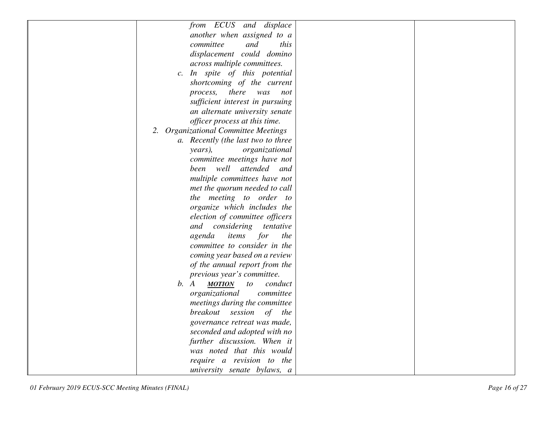| from ECUS and displace                 |  |
|----------------------------------------|--|
|                                        |  |
| another when assigned to a             |  |
| committee<br>and<br>this               |  |
| displacement could domino              |  |
| across multiple committees.            |  |
| c. In spite of this potential          |  |
| shortcoming of the current             |  |
| there<br>process,<br>was<br>not        |  |
| sufficient interest in pursuing        |  |
| an alternate university senate         |  |
| officer process at this time.          |  |
| 2. Organizational Committee Meetings   |  |
| a. Recently (the last two to three     |  |
| organizational<br>years),              |  |
| committee meetings have not            |  |
| been well attended and                 |  |
| multiple committees have not           |  |
| met the quorum needed to call          |  |
| the meeting to order to                |  |
| organize which includes the            |  |
| election of committee officers         |  |
| considering<br>and<br>tentative        |  |
| agenda<br>items<br>for<br>the          |  |
| committee to consider in the           |  |
| coming year based on a review          |  |
| of the annual report from the          |  |
| previous year's committee.             |  |
| b. A<br><b>MOTION</b><br>conduct<br>to |  |
| organizational<br>committee            |  |
| meetings during the committee          |  |
| breakout session<br>of the             |  |
| governance retreat was made,           |  |
| seconded and adopted with no           |  |
| further discussion. When it            |  |
| was noted that this would              |  |
| require a revision to the              |  |
| university senate bylaws, a            |  |
|                                        |  |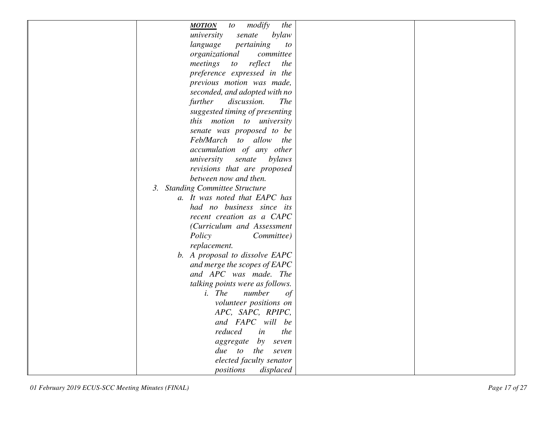| modify<br>the<br><b>MOTION</b><br>$\iota$ |  |
|-------------------------------------------|--|
| university<br>senate<br>bylaw             |  |
| pertaining<br>language<br>to              |  |
| organizational<br>committee               |  |
| meetings<br>reflect<br>to<br>the          |  |
| preference expressed in the               |  |
| previous motion was made,                 |  |
| seconded, and adopted with no             |  |
| further<br>discussion.<br><b>The</b>      |  |
| suggested timing of presenting            |  |
| this motion to university                 |  |
| senate was proposed to be                 |  |
| Feb/March to allow the                    |  |
| accumulation of any other                 |  |
| university<br>senate<br>bylaws            |  |
| revisions that are proposed               |  |
| between now and then.                     |  |
| <b>Standing Committee Structure</b><br>3. |  |
| a. It was noted that EAPC has             |  |
| had no business since its                 |  |
| recent creation as a CAPC                 |  |
| (Curriculum and Assessment                |  |
| Policy<br>Committee)                      |  |
| replacement.                              |  |
| b. A proposal to dissolve EAPC            |  |
| and merge the scopes of EAPC              |  |
| and APC was made. The                     |  |
| talking points were as follows.           |  |
| <i>i</i> . <i>The</i><br>number<br>of     |  |
| volunteer positions on                    |  |
| APC, SAPC, RPIPC,                         |  |
| and FAPC will be                          |  |
| reduced<br>in<br>the                      |  |
| aggregate<br>by<br>seven                  |  |
| due to<br>the<br>seven                    |  |
| elected faculty senator                   |  |
| positions<br>displaced                    |  |
|                                           |  |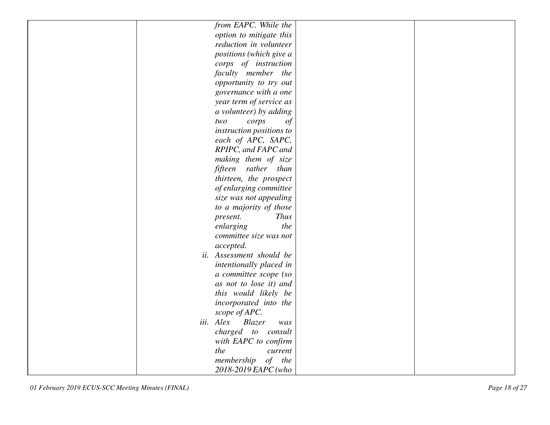| from EAPC. While the       |  |
|----------------------------|--|
| option to mitigate this    |  |
| reduction in volunteer     |  |
| positions (which give a    |  |
| corps of instruction       |  |
| faculty member the         |  |
| opportunity to try out     |  |
| governance with a one      |  |
| year term of service as    |  |
| a volunteer) by adding     |  |
| corps<br>$\sigma f$<br>two |  |
| instruction positions to   |  |
| each of APC, SAPC,         |  |
| RPIPC, and FAPC and        |  |
| making them of size        |  |
| fifteen rather than        |  |
| thirteen, the prospect     |  |
| of enlarging committee     |  |
| size was not appealing     |  |
| to a majority of those     |  |
| <b>Thus</b><br>present.    |  |
| enlarging<br>the           |  |
| committee size was not     |  |
| accepted.                  |  |
| ii. Assessment should be   |  |
| intentionally placed in    |  |
| a committee scope (so      |  |
| as not to lose it) and     |  |
| this would likely be       |  |
| incorporated into the      |  |
| scope of APC.              |  |
| iii. Alex<br>Blazer<br>was |  |
| charged to consult         |  |
| with EAPC to confirm       |  |
| the<br>current             |  |
| membership<br>$of$ the     |  |
| 2018-2019 EAPC (who        |  |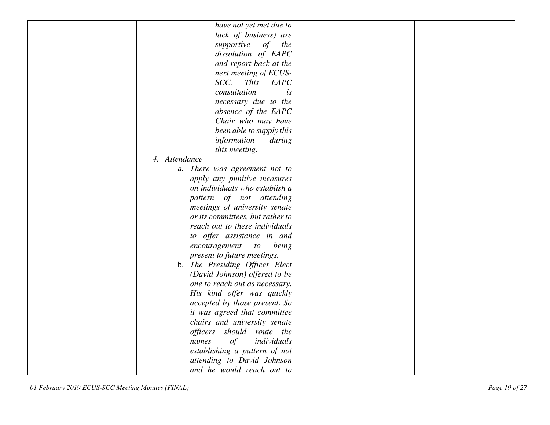| have not yet met due to            |  |
|------------------------------------|--|
| lack of business) are              |  |
| supportive<br>of<br>the            |  |
| dissolution of EAPC                |  |
| and report back at the             |  |
| next meeting of ECUS-              |  |
| SCC.<br><b>This</b><br>EAPC        |  |
| consultation<br>is                 |  |
| necessary due to the               |  |
| absence of the EAPC                |  |
| Chair who may have                 |  |
| been able to supply this           |  |
| information<br>during              |  |
| this meeting.                      |  |
| 4. Attendance                      |  |
| a. There was agreement not to      |  |
| apply any punitive measures        |  |
| on individuals who establish a     |  |
| pattern of not attending           |  |
| meetings of university senate      |  |
| or its committees, but rather to   |  |
| reach out to these individuals     |  |
| to offer assistance in and         |  |
| encouragement<br>being<br>$\iota$  |  |
| present to future meetings.        |  |
| b. The Presiding Officer Elect     |  |
| (David Johnson) offered to be      |  |
| one to reach out as necessary.     |  |
| His kind offer was quickly         |  |
| accepted by those present. So      |  |
| it was agreed that committee       |  |
| chairs and university senate       |  |
| officers<br>should route the       |  |
| $\sigma f$<br>individuals<br>names |  |
| establishing a pattern of not      |  |
| attending to David Johnson         |  |
| and he would reach out to          |  |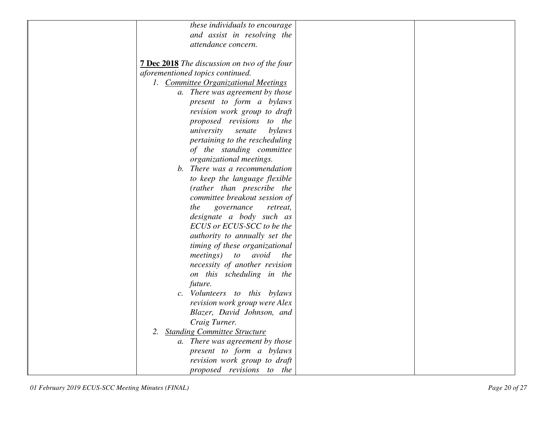|    | these individuals to encourage                      |  |
|----|-----------------------------------------------------|--|
|    | and assist in resolving the                         |  |
|    | attendance concern.                                 |  |
|    |                                                     |  |
|    |                                                     |  |
|    | <b>7 Dec 2018</b> The discussion on two of the four |  |
|    | aforementioned topics continued.                    |  |
|    | 1. Committee Organizational Meetings                |  |
|    | a. There was agreement by those                     |  |
|    | present to form a bylaws                            |  |
|    | revision work group to draft                        |  |
|    | proposed revisions<br>to the                        |  |
|    | bylaws<br>university<br>senate                      |  |
|    | pertaining to the rescheduling                      |  |
|    | of the standing committee                           |  |
|    | organizational meetings.                            |  |
|    | b. There was a recommendation                       |  |
|    | to keep the language flexible                       |  |
|    | (rather than prescribe the                          |  |
|    | committee breakout session of                       |  |
|    | the<br>governance<br>retreat,                       |  |
|    | designate a body such as                            |  |
|    | ECUS or ECUS-SCC to be the                          |  |
|    | authority to annually set the                       |  |
|    | timing of these organizational                      |  |
|    | <i>meetings</i> )<br>avoid<br>to to<br><i>the</i>   |  |
|    |                                                     |  |
|    | necessity of another revision                       |  |
|    | on this scheduling in the                           |  |
|    | future.                                             |  |
|    | c. Volunteers to this bylaws                        |  |
|    | revision work group were Alex                       |  |
|    | Blazer, David Johnson, and                          |  |
|    | Craig Turner.                                       |  |
| 2. | <b>Standing Committee Structure</b>                 |  |
|    | a. There was agreement by those                     |  |
|    | present to form a bylaws                            |  |
|    | revision work group to draft                        |  |
|    | proposed revisions to the                           |  |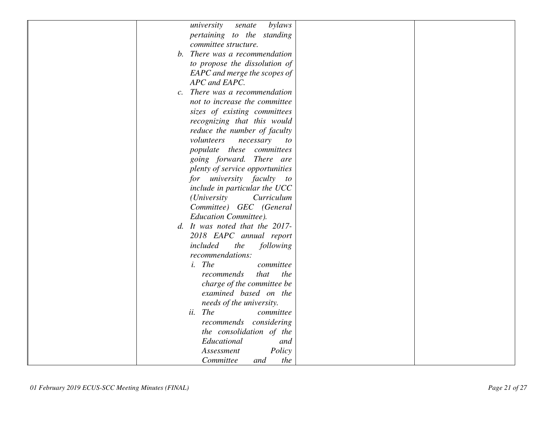| university<br>senate                       | bylaws      |
|--------------------------------------------|-------------|
| pertaining to the standing                 |             |
| committee structure.                       |             |
| b. There was a recommendation              |             |
| to propose the dissolution of              |             |
| EAPC and merge the scopes of               |             |
| APC and EAPC.                              |             |
| c. There was a recommendation              |             |
| not to increase the committee              |             |
| sizes of existing committees               |             |
| recognizing that this would                |             |
| reduce the number of faculty               |             |
| volunteers<br>necessary                    | to          |
|                                            | committees  |
| populate these<br>going forward. There are |             |
|                                            |             |
| plenty of service opportunities            |             |
| for university faculty to                  |             |
| include in particular the UCC              |             |
| <i>(University</i>                         | Curriculum  |
| Committee) GEC (General                    |             |
| <b>Education Committee).</b>               |             |
| d. It was noted that the 2017-             |             |
| 2018 EAPC annual report                    |             |
| included<br>the                            | following   |
| recommendations:                           |             |
| $i.$ The                                   | committee   |
| recommends                                 | that<br>the |
| charge of the committee be                 |             |
| examined based on the                      |             |
| needs of the university.                   |             |
| ii. The                                    | committee   |
| recommends considering                     |             |
| the consolidation of the                   |             |
| Educational                                | and         |
| Assessment                                 | Policy      |
| Committee<br>and                           | the         |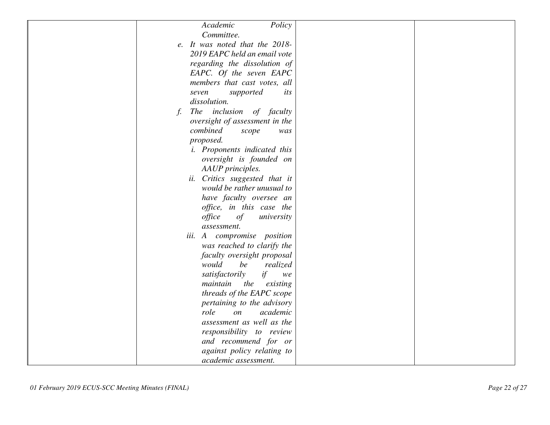| Policy<br>Academic                      |  |
|-----------------------------------------|--|
| Committee.                              |  |
| e. It was noted that the 2018-          |  |
| 2019 EAPC held an email vote            |  |
| regarding the dissolution of            |  |
| EAPC. Of the seven EAPC                 |  |
| members that cast votes, all            |  |
| supported<br>seven<br>its               |  |
| dissolution.                            |  |
| The inclusion of faculty<br>$f_{\cdot}$ |  |
| oversight of assessment in the          |  |
| combined<br>scope<br>was                |  |
| proposed.                               |  |
| <i>i.</i> Proponents indicated this     |  |
| oversight is founded on                 |  |
| AAUP principles.                        |  |
| ii. Critics suggested that it           |  |
| would be rather unusual to              |  |
| have faculty oversee an                 |  |
| office, in this case the                |  |
| office<br>university<br>of              |  |
| assessment.                             |  |
| iii. A compromise position              |  |
| was reached to clarify the              |  |
| faculty oversight proposal              |  |
| would<br>be<br>realized                 |  |
| if<br>satisfactorily<br>we              |  |
| maintain<br>the<br>existing             |  |
| threads of the EAPC scope               |  |
| pertaining to the advisory              |  |
| role<br>academic<br>$\mathfrak{O}n$     |  |
| assessment as well as the               |  |
| responsibility to review                |  |
| and recommend for or                    |  |
| against policy relating to              |  |
| academic assessment.                    |  |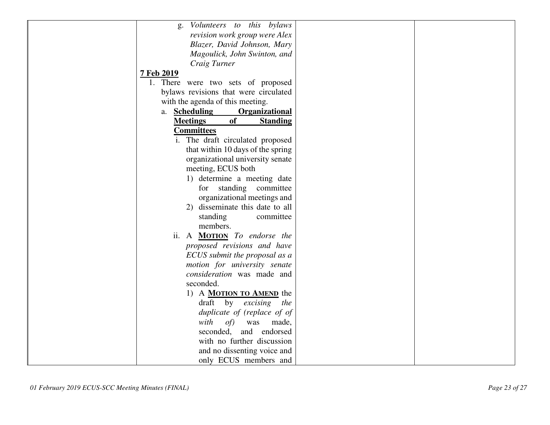| Volunteers to this bylaws<br>g.                 |  |
|-------------------------------------------------|--|
| revision work group were Alex                   |  |
| Blazer, David Johnson, Mary                     |  |
| Magoulick, John Swinton, and                    |  |
| Craig Turner                                    |  |
| 7 Feb 2019                                      |  |
| 1. There were two sets of proposed              |  |
| bylaws revisions that were circulated           |  |
| with the agenda of this meeting.                |  |
| a. <b>Scheduling</b><br><b>Organizational</b>   |  |
| <b>of</b><br><b>Meetings</b><br><b>Standing</b> |  |
| <b>Committees</b>                               |  |
| i. The draft circulated proposed                |  |
| that within 10 days of the spring               |  |
| organizational university senate                |  |
| meeting, ECUS both                              |  |
| 1) determine a meeting date                     |  |
| standing committee<br>for                       |  |
| organizational meetings and                     |  |
| 2) disseminate this date to all                 |  |
| standing<br>committee                           |  |
| members.                                        |  |
| ii. A MOTION To endorse the                     |  |
| proposed revisions and have                     |  |
| ECUS submit the proposal as a                   |  |
| motion for university senate                    |  |
| consideration was made and                      |  |
| seconded.                                       |  |
| 1) A <b>MOTION TO AMEND</b> the                 |  |
| draft by excising the                           |  |
| duplicate of (replace of of                     |  |
| with<br>of)<br>was<br>made,                     |  |
| and endorsed<br>seconded,                       |  |
| with no further discussion                      |  |
| and no dissenting voice and                     |  |
| only ECUS members and                           |  |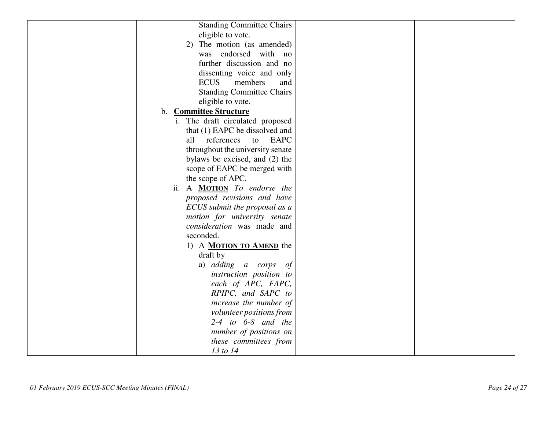| <b>Standing Committee Chairs</b>   |  |
|------------------------------------|--|
| eligible to vote.                  |  |
| 2) The motion (as amended)         |  |
| was endorsed with no               |  |
| further discussion and no          |  |
| dissenting voice and only          |  |
| <b>ECUS</b><br>members<br>and      |  |
| <b>Standing Committee Chairs</b>   |  |
| eligible to vote.                  |  |
| <b>Committee Structure</b><br>b.   |  |
| i. The draft circulated proposed   |  |
| that (1) EAPC be dissolved and     |  |
| all references<br>EAPC<br>to       |  |
| throughout the university senate   |  |
| bylaws be excised, and (2) the     |  |
| scope of EAPC be merged with       |  |
| the scope of APC.                  |  |
| ii. A <b>MOTION</b> To endorse the |  |
| proposed revisions and have        |  |
| ECUS submit the proposal as a      |  |
| motion for university senate       |  |
| consideration was made and         |  |
| seconded.                          |  |
| 1) A <b>MOTION TO AMEND</b> the    |  |
| draft by                           |  |
| a) adding a corps<br>of            |  |
| instruction position to            |  |
| each of APC, FAPC,                 |  |
| RPIPC, and SAPC to                 |  |
| increase the number of             |  |
| volunteer positions from           |  |
| $2-4$ to $6-8$ and the             |  |
| number of positions on             |  |
| these committees from              |  |
| 13 to 14                           |  |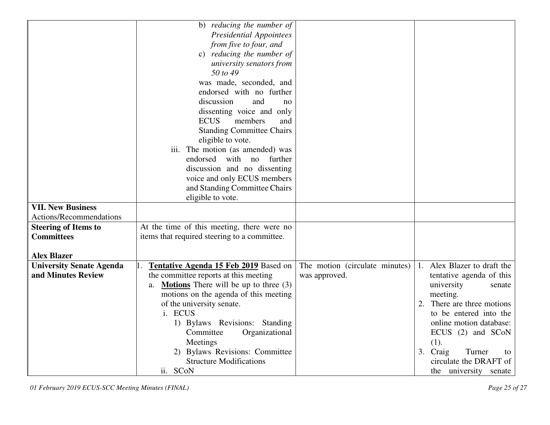|                                 | b) reducing the number of                            |                                |                                |
|---------------------------------|------------------------------------------------------|--------------------------------|--------------------------------|
|                                 | <b>Presidential Appointees</b>                       |                                |                                |
|                                 | from five to four, and                               |                                |                                |
|                                 | c) reducing the number of                            |                                |                                |
|                                 | university senators from                             |                                |                                |
|                                 | 50 to 49                                             |                                |                                |
|                                 | was made, seconded, and                              |                                |                                |
|                                 | endorsed with no further                             |                                |                                |
|                                 | discussion<br>and<br>no                              |                                |                                |
|                                 | dissenting voice and only                            |                                |                                |
|                                 | <b>ECUS</b><br>members<br>and                        |                                |                                |
|                                 | <b>Standing Committee Chairs</b>                     |                                |                                |
|                                 | eligible to vote.                                    |                                |                                |
|                                 | iii. The motion (as amended) was                     |                                |                                |
|                                 | with no<br>endorsed<br>further                       |                                |                                |
|                                 | discussion and no dissenting                         |                                |                                |
|                                 | voice and only ECUS members                          |                                |                                |
|                                 | and Standing Committee Chairs                        |                                |                                |
|                                 | eligible to vote.                                    |                                |                                |
| <b>VII. New Business</b>        |                                                      |                                |                                |
| Actions/Recommendations         |                                                      |                                |                                |
| <b>Steering of Items to</b>     | At the time of this meeting, there were no           |                                |                                |
| <b>Committees</b>               | items that required steering to a committee.         |                                |                                |
|                                 |                                                      |                                |                                |
| <b>Alex Blazer</b>              |                                                      |                                |                                |
| <b>University Senate Agenda</b> | <b>Tentative Agenda 15 Feb 2019</b> Based on         | The motion (circulate minutes) | Alex Blazer to draft the<br>1. |
| and Minutes Review              | the committee reports at this meeting                | was approved.                  | tentative agenda of this       |
|                                 | <b>Motions</b> There will be up to three $(3)$<br>a. |                                | university<br>senate           |
|                                 | motions on the agenda of this meeting                |                                | meeting.                       |
|                                 | of the university senate.                            |                                | There are three motions<br>2.  |
|                                 | i. ECUS                                              |                                | to be entered into the         |
|                                 | 1) Bylaws Revisions: Standing                        |                                | online motion database:        |
|                                 | Committee<br>Organizational                          |                                | ECUS (2) and SCoN              |
|                                 | Meetings                                             |                                | (1).                           |
|                                 | 2) Bylaws Revisions: Committee                       |                                | 3. Craig<br>Turner<br>to       |
|                                 | <b>Structure Modifications</b>                       |                                | circulate the DRAFT of         |
|                                 | ii. SCoN                                             |                                | the university senate          |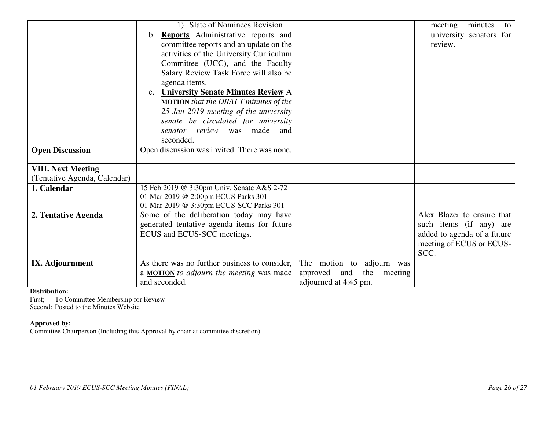|                              | 1) Slate of Nominees Revision                   |                                | minutes<br>meeting<br>to    |
|------------------------------|-------------------------------------------------|--------------------------------|-----------------------------|
|                              | <b>Reports</b> Administrative reports and<br>b. |                                | university senators for     |
|                              | committee reports and an update on the          |                                | review.                     |
|                              | activities of the University Curriculum         |                                |                             |
|                              | Committee (UCC), and the Faculty                |                                |                             |
|                              | Salary Review Task Force will also be           |                                |                             |
|                              | agenda items.                                   |                                |                             |
|                              | <b>University Senate Minutes Review A</b>       |                                |                             |
|                              | <b>MOTION</b> that the DRAFT minutes of the     |                                |                             |
|                              | 25 Jan 2019 meeting of the university           |                                |                             |
|                              | senate be circulated for university             |                                |                             |
|                              | senator review was made and                     |                                |                             |
|                              | seconded.                                       |                                |                             |
| <b>Open Discussion</b>       | Open discussion was invited. There was none.    |                                |                             |
|                              |                                                 |                                |                             |
| <b>VIII. Next Meeting</b>    |                                                 |                                |                             |
| (Tentative Agenda, Calendar) |                                                 |                                |                             |
| 1. Calendar                  | 15 Feb 2019 @ 3:30pm Univ. Senate A&S 2-72      |                                |                             |
|                              | 01 Mar 2019 @ 2:00pm ECUS Parks 301             |                                |                             |
|                              | 01 Mar 2019 @ 3:30pm ECUS-SCC Parks 301         |                                |                             |
| 2. Tentative Agenda          | Some of the deliberation today may have         |                                | Alex Blazer to ensure that  |
|                              | generated tentative agenda items for future     |                                | such items (if any) are     |
|                              | ECUS and ECUS-SCC meetings.                     |                                | added to agenda of a future |
|                              |                                                 |                                | meeting of ECUS or ECUS-    |
|                              |                                                 |                                | SCC.                        |
| IX. Adjournment              | As there was no further business to consider,   | The motion to adjourn was      |                             |
|                              | a <b>MOTION</b> to adjourn the meeting was made | approved and<br>the<br>meeting |                             |
|                              | and seconded.                                   | adjourned at 4:45 pm.          |                             |

### **Distribution:**

 First; To Committee Membership for Review Second: Posted to the Minutes Website

**Approved by: \_\_\_\_\_\_\_\_\_\_\_\_\_\_\_\_\_\_\_\_\_\_\_\_\_\_\_\_\_\_\_\_\_\_\_** Committee Chairperson (Including this Approval by chair at committee discretion)